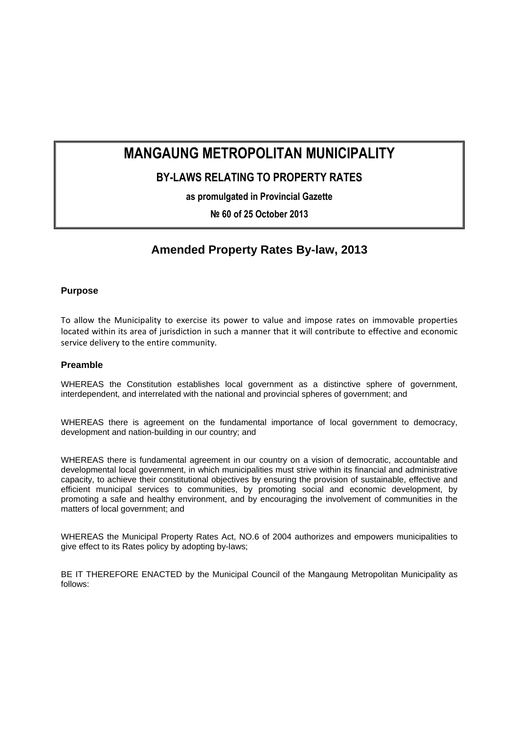# **MANGAUNG METROPOLITAN MUNICIPALITY**

## **BY-LAWS RELATING TO PROPERTY RATES**

**as promulgated in Provincial Gazette** 

**№ 60 of 25 October 2013** 

## **Amended Property Rates By-law, 2013**

## **Purpose**

To allow the Municipality to exercise its power to value and impose rates on immovable properties located within its area of jurisdiction in such a manner that it will contribute to effective and economic service delivery to the entire community.

## **Preamble**

WHEREAS the Constitution establishes local government as a distinctive sphere of government, interdependent, and interrelated with the national and provincial spheres of government; and

WHEREAS there is agreement on the fundamental importance of local government to democracy, development and nation-building in our country; and

WHEREAS there is fundamental agreement in our country on a vision of democratic, accountable and developmental local government, in which municipalities must strive within its financial and administrative capacity, to achieve their constitutional objectives by ensuring the provision of sustainable, effective and efficient municipal services to communities, by promoting social and economic development, by promoting a safe and healthy environment, and by encouraging the involvement of communities in the matters of local government; and

WHEREAS the Municipal Property Rates Act, NO.6 of 2004 authorizes and empowers municipalities to give effect to its Rates policy by adopting by-laws;

BE IT THEREFORE ENACTED by the Municipal Council of the Mangaung Metropolitan Municipality as follows: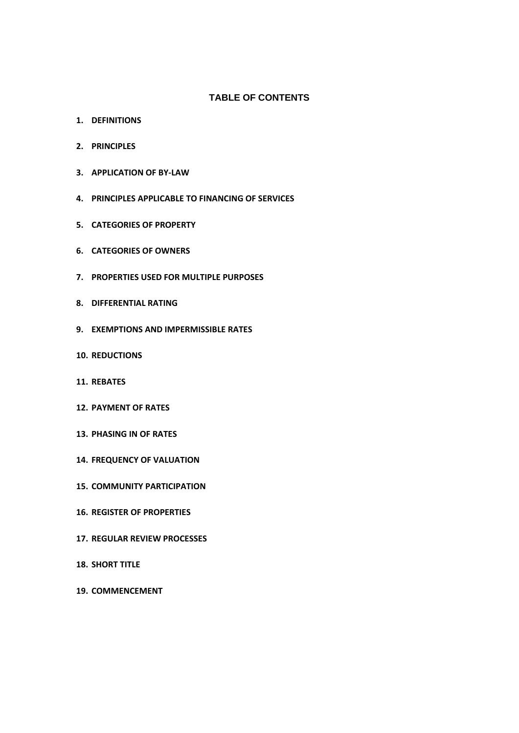## **TABLE OF CONTENTS**

- **1. DEFINITIONS**
- **2. PRINCIPLES**
- **3. APPLICATION OF BY‐LAW**
- **4. PRINCIPLES APPLICABLE TO FINANCING OF SERVICES**
- **5. CATEGORIES OF PROPERTY**
- **6. CATEGORIES OF OWNERS**
- **7. PROPERTIES USED FOR MULTIPLE PURPOSES**
- **8. DIFFERENTIAL RATING**
- **9. EXEMPTIONS AND IMPERMISSIBLE RATES**
- **10. REDUCTIONS**
- **11. REBATES**
- **12. PAYMENT OF RATES**
- **13. PHASING IN OF RATES**
- **14. FREQUENCY OF VALUATION**
- **15. COMMUNITY PARTICIPATION**
- **16. REGISTER OF PROPERTIES**
- **17. REGULAR REVIEW PROCESSES**
- **18. SHORT TITLE**
- **19. COMMENCEMENT**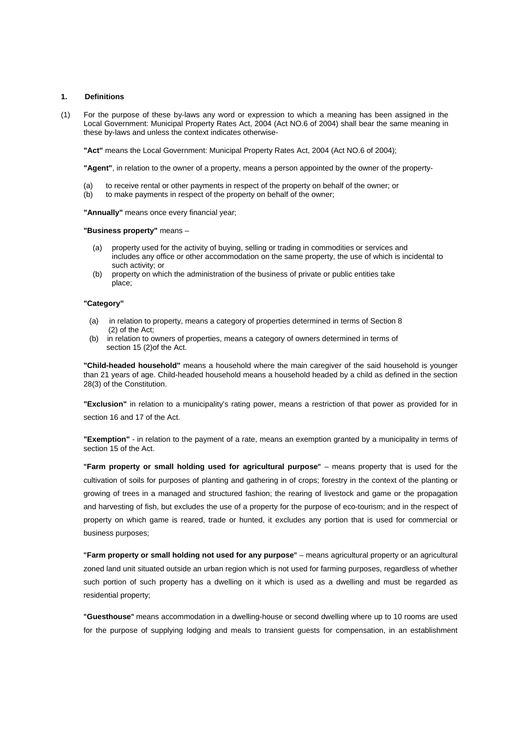#### **1. Definitions**

(1) For the purpose of these by-laws any word or expression to which a meaning has been assigned in the Local Government: Municipal Property Rates Act, 2004 (Act NO.6 of 2004) shall bear the same meaning in these by-laws and unless the context indicates otherwise-

**"Act"** means the Local Government: Municipal Property Rates Act, 2004 (Act NO.6 of 2004);

**"Agent"**, in relation to the owner of a property, means a person appointed by the owner of the property-

- (a) to receive rental or other payments in respect of the property on behalf of the owner; or
- (b) to make payments in respect of the property on behalf of the owner;

**"Annually"** means once every financial year;

#### **"Business property"** means –

- (a) property used for the activity of buying, selling or trading in commodities or services and includes any office or other accommodation on the same property, the use of which is incidental to such activity; or
- (b) property on which the administration of the business of private or public entities take place;

#### **"Category"**

- (a) in relation to property, means a category of properties determined in terms of Section 8 (2) of the Act;
- (b) in relation to owners of properties, means a category of owners determined in terms of section 15 (2)of the Act.

**"Child-headed household"** means a household where the main caregiver of the said household is younger than 21 years of age. Child-headed household means a household headed by a child as defined in the section 28(3) of the Constitution.

**"Exclusion"** in relation to a municipality's rating power, means a restriction of that power as provided for in section 16 and 17 of the Act.

**"Exemption"** - in relation to the payment of a rate, means an exemption granted by a municipality in terms of section 15 of the Act.

**"Farm property or small holding used for agricultural purpose"** – means property that is used for the cultivation of soils for purposes of planting and gathering in of crops; forestry in the context of the planting or growing of trees in a managed and structured fashion; the rearing of livestock and game or the propagation and harvesting of fish, but excludes the use of a property for the purpose of eco-tourism; and in the respect of property on which game is reared, trade or hunted, it excludes any portion that is used for commercial or business purposes;

**"Farm property or small holding not used for any purpose"** – means agricultural property or an agricultural zoned land unit situated outside an urban region which is not used for farming purposes, regardless of whether such portion of such property has a dwelling on it which is used as a dwelling and must be regarded as residential property;

**"Guesthouse"** means accommodation in a dwelling-house or second dwelling where up to 10 rooms are used for the purpose of supplying lodging and meals to transient guests for compensation, in an establishment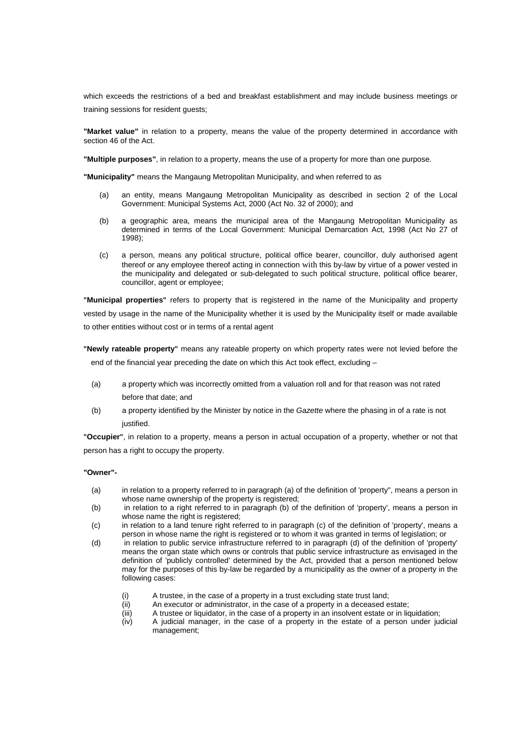which exceeds the restrictions of a bed and breakfast establishment and may include business meetings or training sessions for resident guests;

**"Market value"** in relation to a property, means the value of the property determined in accordance with section 46 of the Act.

**"Multiple purposes"**, in relation to a property, means the use of a property for more than one purpose.

**"Municipality"** means the Mangaung Metropolitan Municipality, and when referred to as

- (a) an entity, means Mangaung Metropolitan Municipality as described in section 2 of the Local Government: Municipal Systems Act, 2000 (Act No. 32 of 2000); and
- (b) a geographic area, means the municipal area of the Mangaung Metropolitan Municipality as determined in terms of the Local Government: Municipal Demarcation Act, 1998 (Act No 27 of 1998);
- (c) a person, means any political structure, political office bearer, councillor, duly authorised agent thereof or any employee thereof acting in connection with this by-law by virtue of a power vested in the municipality and delegated or sub-delegated to such political structure, political office bearer, councillor, agent or employee;

**"Municipal properties"** refers to property that is registered in the name of the Municipality and property vested by usage in the name of the Municipality whether it is used by the Municipality itself or made available to other entities without cost or in terms of a rental agent

**"Newly rateable property"** means any rateable property on which property rates were not levied before the end of the financial year preceding the date on which this Act took effect, excluding –

- (a) a property which was incorrectly omitted from a valuation roll and for that reason was not rated before that date; and
- (b) a property identified by the Minister by notice in the *Gazette* where the phasing in of a rate is not justified.

**"Occupier"**, in relation to a property, means a person in actual occupation of a property, whether or not that person has a right to occupy the property.

#### **"Owner"-**

- (a) in relation to a property referred to in paragraph (a) of the definition of 'property", means a person in whose name ownership of the property is registered;
- (b) in relation to a right referred to in paragraph (b) of the definition of 'property', means a person in whose name the right is registered;
- (c) in relation to a land tenure right referred to in paragraph (c) of the definition of 'property', means a person in whose name the right is registered or to whom it was granted in terms of legislation; or
- (d) in relation to public service infrastructure referred to in paragraph (d) of the definition of 'property' means the organ state which owns or controls that public service infrastructure as envisaged in the definition of 'publicly controlled' determined by the Act, provided that a person mentioned below may for the purposes of this by-law be regarded by a municipality as the owner of a property in the following cases:
	- (i) A trustee, in the case of a property in a trust excluding state trust land;
	- $\begin{array}{lll} \n\text{(ii)} & \text{An executor or administrator, in the case of a property in a decreased estate;} \\
	\text{(iii)} & \text{A trusted or liquidator, in the case of a property in an insolvent estate or in lic}\n\end{array}$
	- A trustee or liquidator, in the case of a property in an insolvent estate or in liquidation;
	- (iv) A judicial manager, in the case of a property in the estate of a person under judicial management;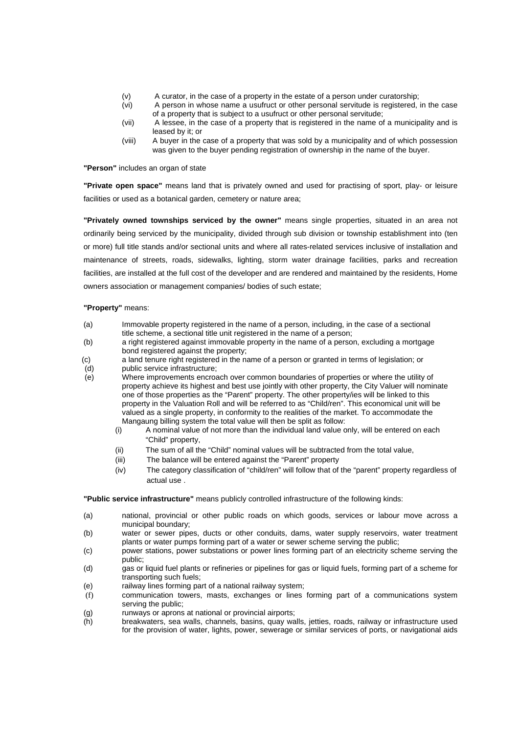- (v) A curator, in the case of a property in the estate of a person under curatorship;<br>(vi) A person in whose name a usufruct or other personal servitude is registered.
	- A person in whose name a usufruct or other personal servitude is registered, in the case of a property that is subject to a usufruct or other personal servitude;
- (vii) A lessee, in the case of a property that is registered in the name of a municipality and is leased by it; or
- (viii) A buyer in the case of a property that was sold by a municipality and of which possession was given to the buyer pending registration of ownership in the name of the buyer.

**"Person"** includes an organ of state

**"Private open space"** means land that is privately owned and used for practising of sport, play- or leisure facilities or used as a botanical garden, cemetery or nature area;

**"Privately owned townships serviced by the owner"** means single properties, situated in an area not ordinarily being serviced by the municipality, divided through sub division or township establishment into (ten or more) full title stands and/or sectional units and where all rates-related services inclusive of installation and maintenance of streets, roads, sidewalks, lighting, storm water drainage facilities, parks and recreation facilities, are installed at the full cost of the developer and are rendered and maintained by the residents, Home owners association or management companies/ bodies of such estate;

#### **"Property"** means:

- (a) Immovable property registered in the name of a person, including, in the case of a sectional title scheme, a sectional title unit registered in the name of a person;
- (b) a right registered against immovable property in the name of a person, excluding a mortgage bond registered against the property;
- (c) a land tenure right registered in the name of a person or granted in terms of legislation; or
- (d) public service infrastructure;
- (e) Where improvements encroach over common boundaries of properties or where the utility of property achieve its highest and best use jointly with other property, the City Valuer will nominate one of those properties as the "Parent" property. The other property/ies will be linked to this property in the Valuation Roll and will be referred to as "Child/ren". This economical unit will be valued as a single property, in conformity to the realities of the market. To accommodate the Mangaung billing system the total value will then be split as follow:
	- (i) A nominal value of not more than the individual land value only, will be entered on each "Child" property,
	- (ii) The sum of all the "Child" nominal values will be subtracted from the total value,
	- (iii) The balance will be entered against the "Parent" property
	- (iv) The category classification of "child/ren" will follow that of the "parent" property regardless of actual use .

**"Public service infrastructure"** means publicly controlled infrastructure of the following kinds:

- (a) national, provincial or other public roads on which goods, services or labour move across a municipal boundary;
- (b) water or sewer pipes, ducts or other conduits, dams, water supply reservoirs, water treatment plants or water pumps forming part of a water or sewer scheme serving the public;
- (c) power stations, power substations or power lines forming part of an electricity scheme serving the public;
- (d) gas or liquid fuel plants or refineries or pipelines for gas or liquid fuels, forming part of a scheme for transporting such fuels;
- (e) railway lines forming part of a national railway system;
- (f) communication towers, masts, exchanges or lines forming part of a communications system serving the public;
- (g) runways or aprons at national or provincial airports;
- (h) breakwaters, sea walls, channels, basins, quay walls, jetties, roads, railway or infrastructure used for the provision of water, lights, power, sewerage or similar services of ports, or navigational aids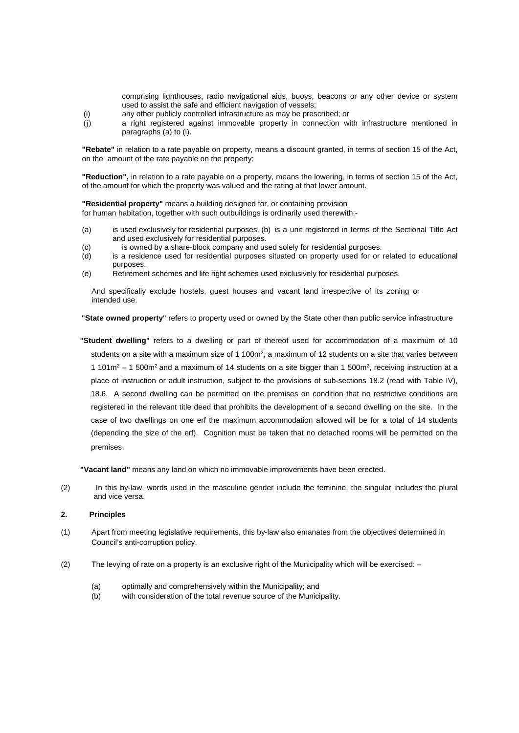comprising lighthouses, radio navigational aids, buoys, beacons or any other device or system used to assist the safe and efficient navigation of vessels;

- (i) any other publicly controlled infrastructure as may be prescribed; or
- (j) a right registered against immovable property in connection with infrastructure mentioned in paragraphs (a) to (i).

**"Rebate"** in relation to a rate payable on property, means a discount granted, in terms of section 15 of the Act, on the amount of the rate payable on the property;

**"Reduction",** in relation to a rate payable on a property, means the lowering, in terms of section 15 of the Act, of the amount for which the property was valued and the rating at that lower amount.

**"Residential property"** means a building designed for, or containing provision for human habitation, together with such outbuildings is ordinarily used therewith:-

- (a) is used exclusively for residential purposes. (b) is a unit registered in terms of the Sectional Title Act and used exclusively for residential purposes.
- (c) is owned by a share-block company and used solely for residential purposes.
- (d) is a residence used for residential purposes situated on property used for or related to educational purposes.
- (e) Retirement schemes and life right schemes used exclusively for residential purposes.

And specifically exclude hostels, guest houses and vacant land irrespective of its zoning or intended use.

 **"State owned property"** refers to property used or owned by the State other than public service infrastructure

 **"Student dwelling"** refers to a dwelling or part of thereof used for accommodation of a maximum of 10 students on a site with a maximum size of 1 100m<sup>2</sup>, a maximum of 12 students on a site that varies between 1 101 $m^2$  – 1 500 $m^2$  and a maximum of 14 students on a site bigger than 1 500 $m^2$ , receiving instruction at a place of instruction or adult instruction, subject to the provisions of sub-sections 18.2 (read with Table IV), 18.6. A second dwelling can be permitted on the premises on condition that no restrictive conditions are registered in the relevant title deed that prohibits the development of a second dwelling on the site. In the case of two dwellings on one erf the maximum accommodation allowed will be for a total of 14 students (depending the size of the erf). Cognition must be taken that no detached rooms will be permitted on the premises.

 **"Vacant land"** means any land on which no immovable improvements have been erected.

(2) In this by-law, words used in the masculine gender include the feminine, the singular includes the plural and vice versa.

#### **2. Principles**

- (1) Apart from meeting legislative requirements, this by-law also emanates from the objectives determined in Council's anti-corruption policy.
- (2) The levying of rate on a property is an exclusive right of the Municipality which will be exercised:
	- (a) optimally and comprehensively within the Municipality; and
	- (b) with consideration of the total revenue source of the Municipality.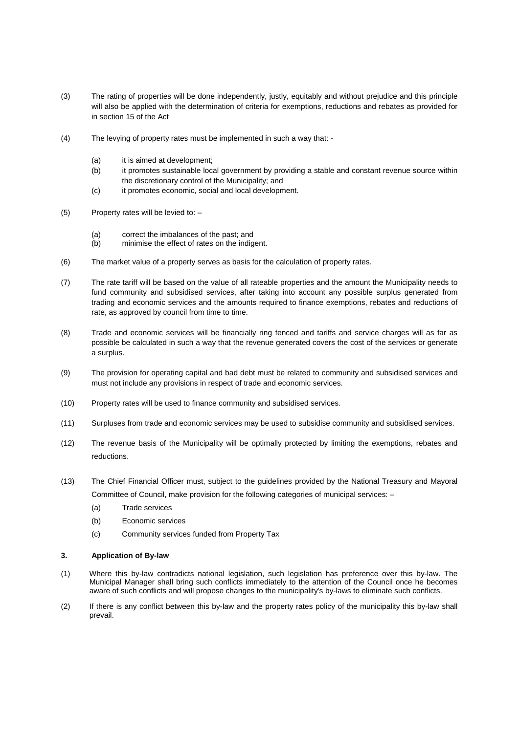- (3) The rating of properties will be done independently, justly, equitably and without prejudice and this principle will also be applied with the determination of criteria for exemptions, reductions and rebates as provided for in section 15 of the Act
- (4) The levying of property rates must be implemented in such a way that:
	- (a) it is aimed at development;
	- (b) it promotes sustainable local government by providing a stable and constant revenue source within the discretionary control of the Municipality; and
	- (c) it promotes economic, social and local development.
- (5) Property rates will be levied to:
	- (a) correct the imbalances of the past; and
	- (b) minimise the effect of rates on the indigent.
- (6) The market value of a property serves as basis for the calculation of property rates.
- (7) The rate tariff will be based on the value of all rateable properties and the amount the Municipality needs to fund community and subsidised services, after taking into account any possible surplus generated from trading and economic services and the amounts required to finance exemptions, rebates and reductions of rate, as approved by council from time to time.
- (8) Trade and economic services will be financially ring fenced and tariffs and service charges will as far as possible be calculated in such a way that the revenue generated covers the cost of the services or generate a surplus.
- (9) The provision for operating capital and bad debt must be related to community and subsidised services and must not include any provisions in respect of trade and economic services.
- (10) Property rates will be used to finance community and subsidised services.
- (11) Surpluses from trade and economic services may be used to subsidise community and subsidised services.
- (12) The revenue basis of the Municipality will be optimally protected by limiting the exemptions, rebates and reductions.
- (13) The Chief Financial Officer must, subject to the guidelines provided by the National Treasury and Mayoral Committee of Council, make provision for the following categories of municipal services: –
	- (a) Trade services
	- (b) Economic services
	- (c) Community services funded from Property Tax

#### **3. Application of By-law**

- (1) Where this by-law contradicts national legislation, such legislation has preference over this by-law. The Municipal Manager shall bring such conflicts immediately to the attention of the Council once he becomes aware of such conflicts and will propose changes to the municipality's by-laws to eliminate such conflicts.
- (2) If there is any conflict between this by-law and the property rates policy of the municipality this by-law shall prevail.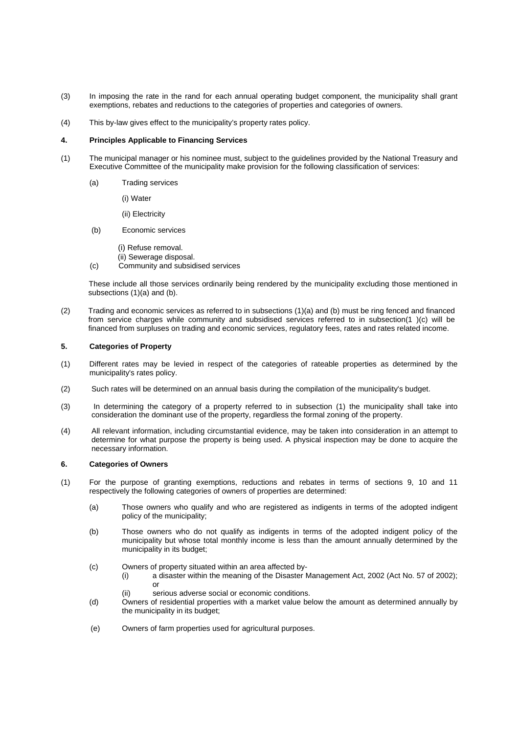- (3) In imposing the rate in the rand for each annual operating budget component, the municipality shall grant exemptions, rebates and reductions to the categories of properties and categories of owners.
- (4) This by-law gives effect to the municipality's property rates policy.

#### **4. Principles Applicable to Financing Services**

- (1) The municipal manager or his nominee must, subject to the guidelines provided by the National Treasury and Executive Committee of the municipality make provision for the following classification of services:
	- (a) Trading services
		- (i) Water
		- (ii) Electricity
	- (b) Economic services
		- (i) Refuse removal.
		- (ii) Sewerage disposal.
	- (c) Community and subsidised services

These include all those services ordinarily being rendered by the municipality excluding those mentioned in subsections (1)(a) and (b).

(2) Trading and economic services as referred to in subsections (1)(a) and (b) must be ring fenced and financed from service charges while community and subsidised services referred to in subsection(1 )(c) will be financed from surpluses on trading and economic services, regulatory fees, rates and rates related income.

#### **5. Categories of Property**

- (1) Different rates may be levied in respect of the categories of rateable properties as determined by the municipality's rates policy.
- (2) Such rates will be determined on an annual basis during the compilation of the municipality's budget.
- (3) In determining the category of a property referred to in subsection (1) the municipality shall take into consideration the dominant use of the property, regardless the formal zoning of the property.
- (4) All relevant information, including circumstantial evidence, may be taken into consideration in an attempt to determine for what purpose the property is being used. A physical inspection may be done to acquire the necessary information.

#### **6. Categories of Owners**

- (1) For the purpose of granting exemptions, reductions and rebates in terms of sections 9, 10 and 11 respectively the following categories of owners of properties are determined:
	- (a) Those owners who qualify and who are registered as indigents in terms of the adopted indigent policy of the municipality;
	- (b) Those owners who do not qualify as indigents in terms of the adopted indigent policy of the municipality but whose total monthly income is less than the amount annually determined by the municipality in its budget;
	- (c) Owners of property situated within an area affected by
		- a disaster within the meaning of the Disaster Management Act, 2002 (Act No. 57 of 2002); or
			- (ii) serious adverse social or economic conditions.
	- (d) Owners of residential properties with a market value below the amount as determined annually by the municipality in its budget;
	- (e) Owners of farm properties used for agricultural purposes.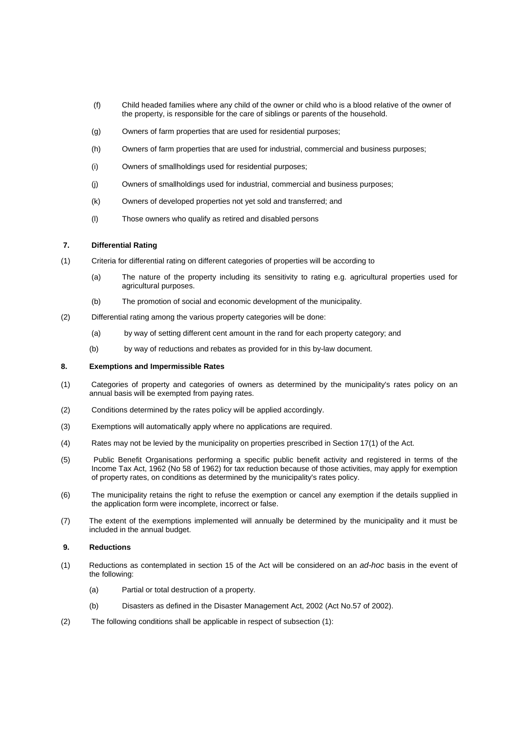- (f) Child headed families where any child of the owner or child who is a blood relative of the owner of the property, is responsible for the care of siblings or parents of the household.
- (g) Owners of farm properties that are used for residential purposes;
- (h) Owners of farm properties that are used for industrial, commercial and business purposes;
- (i) Owners of smallholdings used for residential purposes;
- (j) Owners of smallholdings used for industrial, commercial and business purposes;
- (k) Owners of developed properties not yet sold and transferred; and
- (l) Those owners who qualify as retired and disabled persons

#### **7. Differential Rating**

- (1) Criteria for differential rating on different categories of properties will be according to
	- (a) The nature of the property including its sensitivity to rating e.g. agricultural properties used for agricultural purposes.
	- (b) The promotion of social and economic development of the municipality.
- (2) Differential rating among the various property categories will be done:
	- (a) by way of setting different cent amount in the rand for each property category; and
	- (b) by way of reductions and rebates as provided for in this by-law document.

#### **8. Exemptions and Impermissible Rates**

- (1) Categories of property and categories of owners as determined by the municipality's rates policy on an annual basis will be exempted from paying rates.
- (2) Conditions determined by the rates policy will be applied accordingly.
- (3) Exemptions will automatically apply where no applications are required.
- (4) Rates may not be levied by the municipality on properties prescribed in Section 17(1) of the Act.
- (5) Public Benefit Organisations performing a specific public benefit activity and registered in terms of the Income Tax Act, 1962 (No 58 of 1962) for tax reduction because of those activities, may apply for exemption of property rates, on conditions as determined by the municipality's rates policy.
- (6) The municipality retains the right to refuse the exemption or cancel any exemption if the details supplied in the application form were incomplete, incorrect or false.
- (7) The extent of the exemptions implemented will annually be determined by the municipality and it must be included in the annual budget.

#### **9. Reductions**

- (1) Reductions as contemplated in section 15 of the Act will be considered on an *ad-hoc* basis in the event of the following:
	- (a) Partial or total destruction of a property.
	- (b) Disasters as defined in the Disaster Management Act, 2002 (Act No.57 of 2002).
- (2) The following conditions shall be applicable in respect of subsection (1):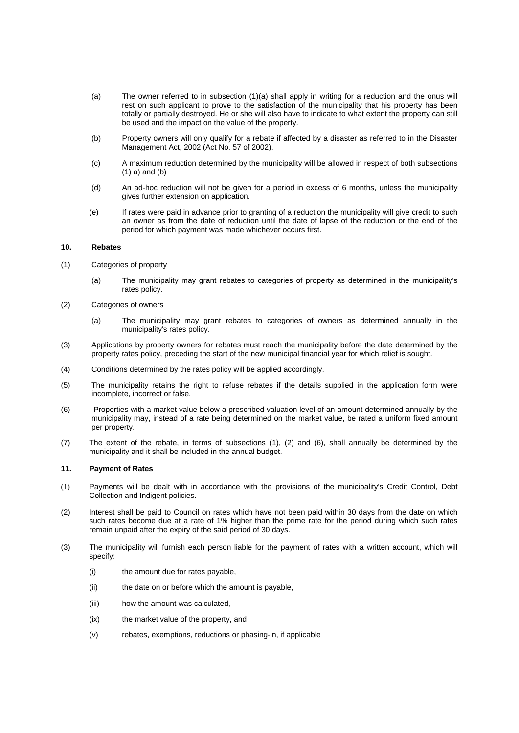- (a) The owner referred to in subsection (1)(a) shall apply in writing for a reduction and the onus will rest on such applicant to prove to the satisfaction of the municipality that his property has been totally or partially destroyed. He or she will also have to indicate to what extent the property can still be used and the impact on the value of the property.
- (b) Property owners will only qualify for a rebate if affected by a disaster as referred to in the Disaster Management Act, 2002 (Act No. 57 of 2002).
- (c) A maximum reduction determined by the municipality will be allowed in respect of both subsections (1) a) and (b)
- (d) An ad-hoc reduction will not be given for a period in excess of 6 months, unless the municipality gives further extension on application.
- (e) If rates were paid in advance prior to granting of a reduction the municipality will give credit to such an owner as from the date of reduction until the date of lapse of the reduction or the end of the period for which payment was made whichever occurs first.

#### **10. Rebates**

- (1) Categories of property
	- (a) The municipality may grant rebates to categories of property as determined in the municipality's rates policy.
- (2) Categories of owners
	- (a) The municipality may grant rebates to categories of owners as determined annually in the municipality's rates policy.
- (3) Applications by property owners for rebates must reach the municipality before the date determined by the property rates policy, preceding the start of the new municipal financial year for which relief is sought.
- (4) Conditions determined by the rates policy will be applied accordingly.
- (5) The municipality retains the right to refuse rebates if the details supplied in the application form were incomplete, incorrect or false.
- (6) Properties with a market value below a prescribed valuation level of an amount determined annually by the municipality may, instead of a rate being determined on the market value, be rated a uniform fixed amount per property.
- (7) The extent of the rebate, in terms of subsections (1), (2) and (6), shall annually be determined by the municipality and it shall be included in the annual budget.

#### **11. Payment of Rates**

- (1) Payments will be dealt with in accordance with the provisions of the municipality's Credit Control, Debt Collection and Indigent policies.
- (2) Interest shall be paid to Council on rates which have not been paid within 30 days from the date on which such rates become due at a rate of 1% higher than the prime rate for the period during which such rates remain unpaid after the expiry of the said period of 30 days.
- (3) The municipality will furnish each person liable for the payment of rates with a written account, which will specify:
	- (i) the amount due for rates payable,
	- (ii) the date on or before which the amount is payable,
	- (iii) how the amount was calculated,
	- (ix) the market value of the property, and
	- (v) rebates, exemptions, reductions or phasing-in, if applicable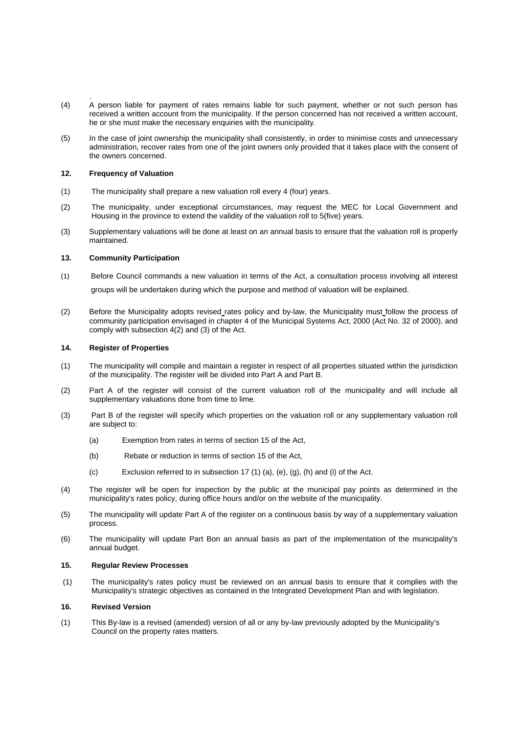- . (4) A person liable for payment of rates remains liable for such payment, whether or not such person has received a written account from the municipality. If the person concerned has not received a written account, he or she must make the necessary enquiries with the municipality.
- (5) In the case of joint ownership the municipality shall consistently, in order to minimise costs and unnecessary administration, recover rates from one of the joint owners only provided that it takes place with the consent of the owners concerned.

#### **12. Frequency of Valuation**

- (1) The municipality shall prepare a new valuation roll every 4 (four) years.
- (2) The municipality, under exceptional circumstances, may request the MEC for Local Government and Housing in the province to extend the validity of the valuation roll to 5(five) years.
- (3) Supplementary valuations will be done at least on an annual basis to ensure that the valuation roll is properly maintained.

#### **13. Community Participation**

- (1) Before Council commands a new valuation in terms of the Act, a consultation process involving all interest groups will be undertaken during which the purpose and method of valuation will be explained.
- (2) Before the Municipality adopts revised rates policy and by-law, the Municipality must follow the process of community participation envisaged in chapter 4 of the Municipal Systems Act, 2000 (Act No. 32 of 2000), and comply with subsection 4(2) and (3) of the Act.

#### **14. Register of Properties**

- (1) The municipality will compile and maintain a register in respect of all properties situated within the jurisdiction of the municipality. The register will be divided into Part A and Part B.
- (2) Part A of the register will consist of the current valuation roll of the municipality and will include all supplementary valuations done from time to lime.
- (3) Part B of the register will specify which properties on the valuation roll or any supplementary valuation roll are subject to:
	- (a) Exemption from rates in terms of section 15 of the Act,
	- (b) Rebate or reduction in terms of section 15 of the Act,
	- (c) Exclusion referred to in subsection 17 (1) (a), (e), (g), (h) and (i) of the Act.
- (4) The register will be open for inspection by the public at the municipal pay points as determined in the municipality's rates policy, during office hours and/or on the website of the municipality.
- (5) The municipality will update Part A of the register on a continuous basis by way of a supplementary valuation process.
- (6) The municipality will update Part Bon an annual basis as part of the implementation of the municipality's annual budget.

#### **15. Regular Review Processes**

(1) The municipality's rates policy must be reviewed on an annual basis to ensure that it complies with the Municipality's strategic objectives as contained in the Integrated Development Plan and with legislation.

#### **16. Revised Version**

(1) This By-law is a revised (amended) version of all or any by-law previously adopted by the Municipality's Council on the property rates matters.